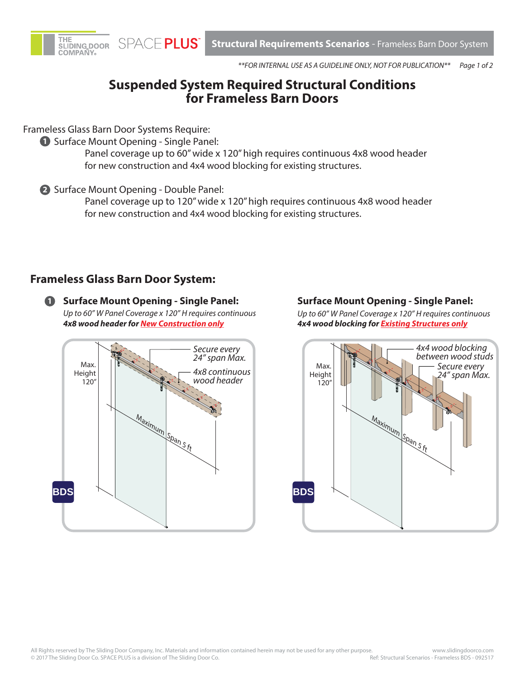

**Structural Requirements Scenarios** - Frameless Barn Door System

*Page 1 of 2 \*\*FOR INTERNAL USE AS A GUIDELINE ONLY, NOT FOR PUBLICATION\*\**

## **Suspended System Required Structural Conditions for Frameless Barn Doors**

Frameless Glass Barn Door Systems Require:

**1** Surface Mount Opening - Single Panel:

Panel coverage up to 60" wide x 120" high requires continuous 4x8 wood header for new construction and 4x4 wood blocking for existing structures.

**2** Surface Mount Opening - Double Panel:

Panel coverage up to 120" wide x 120" high requires continuous 4x8 wood header for new construction and 4x4 wood blocking for existing structures.

## **Frameless Glass Barn Door System:**

**1 Surface Mount Opening - Single Panel:**  *Up to 60" W Panel Coverage x 120" H requires continuous 4x8 wood header for New Construction only*



## **Surface Mount Opening - Single Panel:**

*Up to 60" W Panel Coverage x 120" H requires continuous 4x4 wood blocking for Existing Structures only*